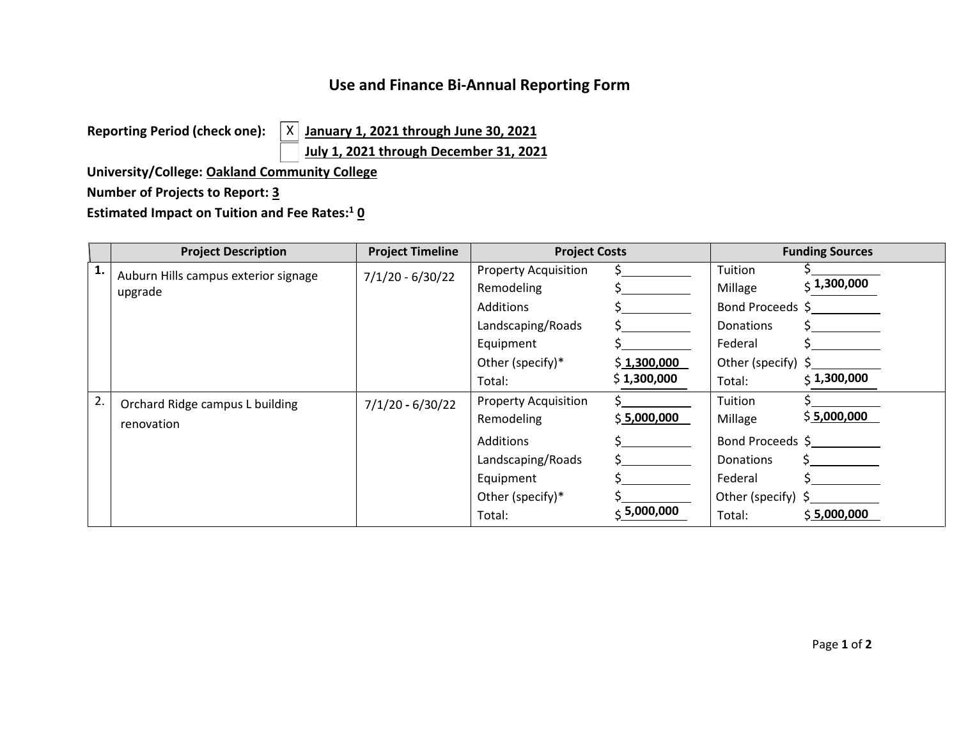## **Use and Finance Bi-Annual Reporting Form**

**Reporting Period (check one):** 

**eporting Period (check one):**  $\begin{array}{c} \times \end{array}$  <u>January 1, 2021 through June 30, 2021</u>  $\vert x \vert$ 

**July 1, 2021 through December 31, 2021**

**University/College: Oakland Community College** 

## **Number of Projects to Report: 3**

**Estimated Impact on Tuition and Fee Rates:**<sup>1</sup> **0** 

|    | <b>Project Description</b>           | <b>Project Timeline</b> | <b>Project Costs</b>        |                  | <b>Funding Sources</b>  |                   |
|----|--------------------------------------|-------------------------|-----------------------------|------------------|-------------------------|-------------------|
| 1. | Auburn Hills campus exterior signage | $7/1/20 - 6/30/22$      | <b>Property Acquisition</b> |                  | Tuition                 |                   |
|    | upgrade                              |                         | Remodeling                  |                  | Millage                 | $\zeta$ 1,300,000 |
|    |                                      |                         | <b>Additions</b>            |                  | Bond Proceeds \$        |                   |
|    |                                      |                         | Landscaping/Roads           |                  | <b>Donations</b>        |                   |
|    |                                      |                         | Equipment                   |                  | Federal                 |                   |
|    |                                      |                         | Other (specify)*            | \$1,300,000      | Other (specify) $\zeta$ |                   |
|    |                                      |                         | Total:                      | \$1,300,000      | Total:                  | $\zeta$ 1,300,000 |
| 2. | Orchard Ridge campus L building      | $7/1/20 - 6/30/22$      | <b>Property Acquisition</b> |                  | Tuition                 |                   |
|    | renovation                           |                         | Remodeling                  | \$5,000,000      | Millage                 | \$5,000,000       |
|    |                                      |                         | <b>Additions</b>            |                  | Bond Proceeds \$        |                   |
|    |                                      |                         | Landscaping/Roads           |                  | <b>Donations</b>        |                   |
|    |                                      |                         | Equipment                   |                  | Federal                 |                   |
|    |                                      |                         | Other (specify)*            |                  | Other (specify) $\zeta$ |                   |
|    |                                      |                         | Total:                      | $\div$ 5,000,000 | Total:                  | \$5,000,000       |